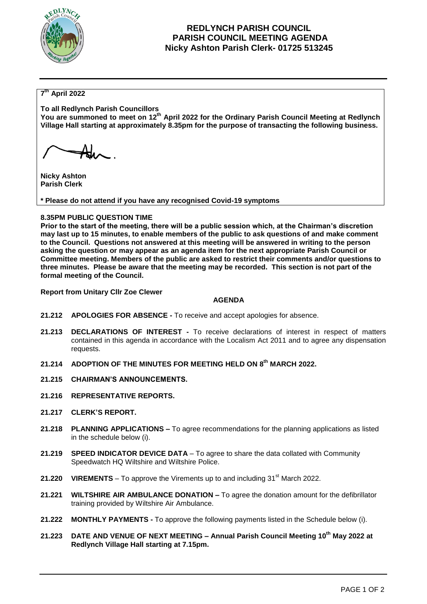

# **REDLYNCH PARISH COUNCIL PARISH COUNCIL MEETING AGENDA Nicky Ashton Parish Clerk- 01725 513245**

## **7 th April 2022**

**To all Redlynch Parish Councillors**

**You are summoned to meet on 12th April 2022 for the Ordinary Parish Council Meeting at Redlynch Village Hall starting at approximately 8.35pm for the purpose of transacting the following business.**

**Nicky Ashton Parish Clerk** 

**\* Please do not attend if you have any recognised Covid-19 symptoms**

## **8.35PM PUBLIC QUESTION TIME**

**Prior to the start of the meeting, there will be a public session which, at the Chairman's discretion may last up to 15 minutes, to enable members of the public to ask questions of and make comment to the Council. Questions not answered at this meeting will be answered in writing to the person asking the question or may appear as an agenda item for the next appropriate Parish Council or Committee meeting. Members of the public are asked to restrict their comments and/or questions to three minutes. Please be aware that the meeting may be recorded. This section is not part of the formal meeting of the Council.** 

**Report from Unitary Cllr Zoe Clewer**

#### **AGENDA**

- **21.212 APOLOGIES FOR ABSENCE -** To receive and accept apologies for absence.
- **21.213 DECLARATIONS OF INTEREST -** To receive declarations of interest in respect of matters contained in this agenda in accordance with the Localism Act 2011 and to agree any dispensation requests.
- **21.214 ADOPTION OF THE MINUTES FOR MEETING HELD ON 8 th MARCH 2022.**
- **21.215 CHAIRMAN'S ANNOUNCEMENTS.**
- **21.216 REPRESENTATIVE REPORTS.**
- **21.217 CLERK'S REPORT.**
- **21.218 PLANNING APPLICATIONS –** To agree recommendations for the planning applications as listed in the schedule below (i).
- **21.219 SPEED INDICATOR DEVICE DATA** To agree to share the data collated with Community Speedwatch HQ Wiltshire and Wiltshire Police.
- **21.220 VIREMENTS** To approve the Virements up to and including 31<sup>st</sup> March 2022.
- **21.221 WILTSHIRE AIR AMBULANCE DONATION –** To agree the donation amount for the defibrillator training provided by Wiltshire Air Ambulance.
- **21.222 MONTHLY PAYMENTS -** To approve the following payments listed in the Schedule below (i).
- **21.223 DATE AND VENUE OF NEXT MEETING – Annual Parish Council Meeting 10 th May 2022 at Redlynch Village Hall starting at 7.15pm.**